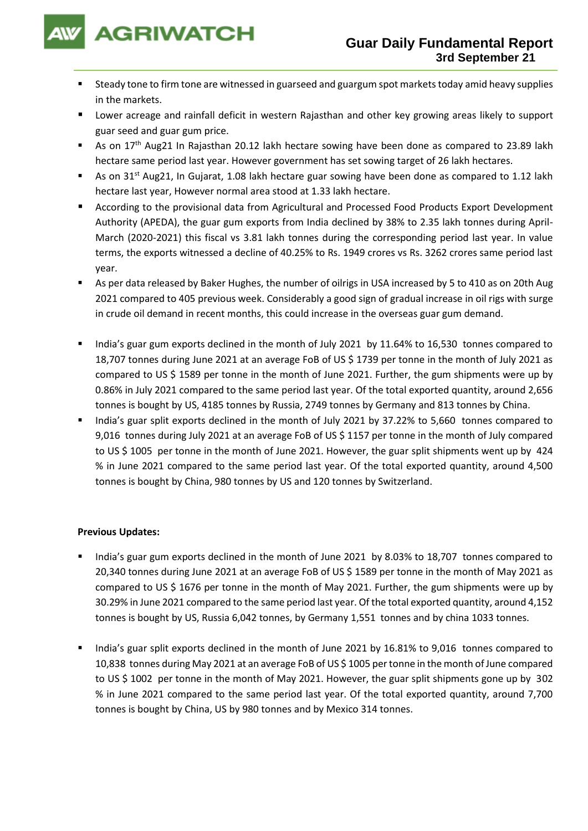

- Steady tone to firm tone are witnessed in guarseed and guargum spot markets today amid heavy supplies in the markets.
- Lower acreage and rainfall deficit in western Rajasthan and other key growing areas likely to support guar seed and guar gum price.
- As on 17<sup>th</sup> Aug21 In Rajasthan 20.12 lakh hectare sowing have been done as compared to 23.89 lakh hectare same period last year. However government has set sowing target of 26 lakh hectares.
- As on  $31<sup>st</sup>$  Aug21, In Gujarat, 1.08 lakh hectare guar sowing have been done as compared to 1.12 lakh hectare last year, However normal area stood at 1.33 lakh hectare.
- According to the provisional data from Agricultural and Processed Food Products Export Development Authority (APEDA), the guar gum exports from India declined by 38% to 2.35 lakh tonnes during April-March (2020-2021) this fiscal vs 3.81 lakh tonnes during the corresponding period last year. In value terms, the exports witnessed a decline of 40.25% to Rs. 1949 crores vs Rs. 3262 crores same period last year.
- As per data released by Baker Hughes, the number of oilrigs in USA increased by 5 to 410 as on 20th Aug 2021 compared to 405 previous week. Considerably a good sign of gradual increase in oil rigs with surge in crude oil demand in recent months, this could increase in the overseas guar gum demand.
- India's guar gum exports declined in the month of July 2021 by 11.64% to 16,530 tonnes compared to 18,707 tonnes during June 2021 at an average FoB of US \$ 1739 per tonne in the month of July 2021 as compared to US \$ 1589 per tonne in the month of June 2021. Further, the gum shipments were up by 0.86% in July 2021 compared to the same period last year. Of the total exported quantity, around 2,656 tonnes is bought by US, 4185 tonnes by Russia, 2749 tonnes by Germany and 813 tonnes by China.
- India's guar split exports declined in the month of July 2021 by 37.22% to 5,660 tonnes compared to 9,016 tonnes during July 2021 at an average FoB of US \$ 1157 per tonne in the month of July compared to US \$ 1005 per tonne in the month of June 2021. However, the guar split shipments went up by 424 % in June 2021 compared to the same period last year. Of the total exported quantity, around 4,500 tonnes is bought by China, 980 tonnes by US and 120 tonnes by Switzerland.

## **Previous Updates:**

- India's guar gum exports declined in the month of June 2021 by 8.03% to 18,707 tonnes compared to 20,340 tonnes during June 2021 at an average FoB of US \$ 1589 per tonne in the month of May 2021 as compared to US \$ 1676 per tonne in the month of May 2021. Further, the gum shipments were up by 30.29% in June 2021 compared to the same period last year. Of the total exported quantity, around 4,152 tonnes is bought by US, Russia 6,042 tonnes, by Germany 1,551 tonnes and by china 1033 tonnes.
- India's guar split exports declined in the month of June 2021 by 16.81% to 9,016 tonnes compared to 10,838 tonnes during May 2021 at an average FoB of US \$ 1005 per tonne in the month of June compared to US \$ 1002 per tonne in the month of May 2021. However, the guar split shipments gone up by 302 % in June 2021 compared to the same period last year. Of the total exported quantity, around 7,700 tonnes is bought by China, US by 980 tonnes and by Mexico 314 tonnes.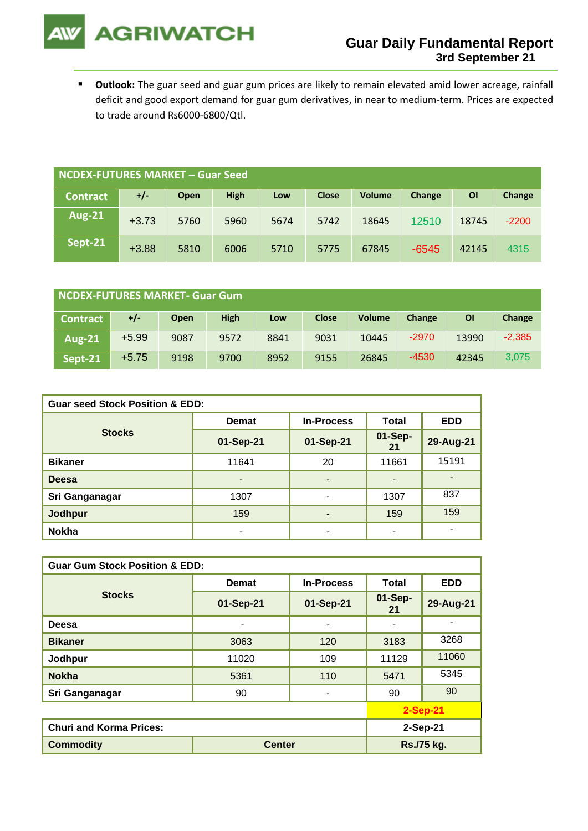**AGRIWATCH** 

▪ **Outlook:** The guar seed and guar gum prices are likely to remain elevated amid lower acreage, rainfall deficit and good export demand for guar gum derivatives, in near to medium-term. Prices are expected to trade around Rs6000-6800/Qtl.

| NCDEX-FUTURES MARKET - Guar Seed |         |      |             |      |              |               |         |       |         |
|----------------------------------|---------|------|-------------|------|--------------|---------------|---------|-------|---------|
| <b>Contract</b>                  | $+/-$   | Open | <b>High</b> | Low  | <b>Close</b> | <b>Volume</b> | Change  | ΟI    | Change  |
| <b>Aug-21</b>                    | $+3.73$ | 5760 | 5960        | 5674 | 5742         | 18645         | 12510   | 18745 | $-2200$ |
| Sept-21                          | $+3.88$ | 5810 | 6006        | 5710 | 5775         | 67845         | $-6545$ | 42145 | 4315    |

| <b>NCDEX-FUTURES MARKET- Guar Gum</b> |         |             |             |      |              |               |         |       |          |
|---------------------------------------|---------|-------------|-------------|------|--------------|---------------|---------|-------|----------|
| <b>Contract</b>                       | +/-     | <b>Open</b> | <b>High</b> | Low  | <b>Close</b> | <b>Volume</b> | Change  | ΟI    | Change   |
| $Aug-21$                              | $+5.99$ | 9087        | 9572        | 8841 | 9031         | 10445         | $-2970$ | 13990 | $-2,385$ |
| Sept-21                               | $+5.75$ | 9198        | 9700        | 8952 | 9155         | 26845         | $-4530$ | 42345 | 3,075    |

| <b>Guar seed Stock Position &amp; EDD:</b> |              |                   |                          |                |  |  |  |
|--------------------------------------------|--------------|-------------------|--------------------------|----------------|--|--|--|
|                                            | <b>Demat</b> | <b>In-Process</b> | <b>Total</b>             | <b>EDD</b>     |  |  |  |
| <b>Stocks</b>                              | 01-Sep-21    | 01-Sep-21         | 01-Sep-<br>21            | 29-Aug-21      |  |  |  |
| <b>Bikaner</b>                             | 11641        | 20                | 11661                    | 15191          |  |  |  |
| <b>Deesa</b>                               | ٠            | ٠                 | $\overline{\phantom{0}}$ |                |  |  |  |
| Sri Ganganagar                             | 1307         | ٠                 | 1307                     | 837            |  |  |  |
| <b>Jodhpur</b>                             | 159          | ٠                 | 159                      | 159            |  |  |  |
| <b>Nokha</b>                               | ۰            | ۰                 | ٠                        | $\blacksquare$ |  |  |  |

| <b>Guar Gum Stock Position &amp; EDD:</b> |              |                   |               |            |  |  |  |
|-------------------------------------------|--------------|-------------------|---------------|------------|--|--|--|
|                                           | <b>Demat</b> | <b>In-Process</b> | <b>Total</b>  | <b>EDD</b> |  |  |  |
| <b>Stocks</b>                             | 01-Sep-21    | 01-Sep-21         | 01-Sep-<br>21 | 29-Aug-21  |  |  |  |
| Deesa                                     |              | ۰                 |               |            |  |  |  |
| <b>Bikaner</b>                            | 3063         | 120               | 3183          | 3268       |  |  |  |
| Jodhpur                                   | 11020        | 109               | 11129         | 11060      |  |  |  |
| <b>Nokha</b>                              | 5361         | 110               | 5471          | 5345       |  |  |  |
| Sri Ganganagar                            | 90           |                   | 90            | 90         |  |  |  |
|                                           |              | 2-Sep-21          |               |            |  |  |  |
| <b>Churi and Korma Prices:</b>            |              |                   |               | 2-Sep-21   |  |  |  |
| <b>Commodity</b><br><b>Center</b>         |              |                   |               | Rs./75 kg. |  |  |  |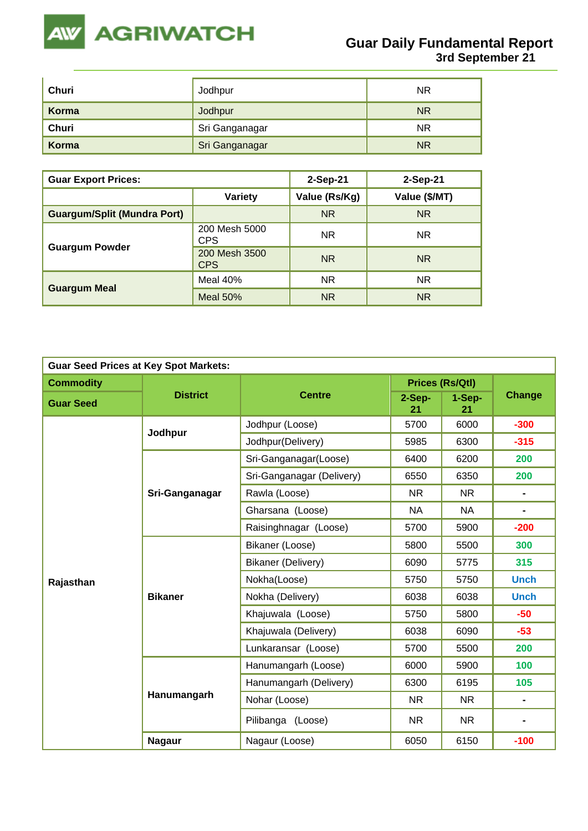

| Churi | Jodhpur        | <b>NR</b> |
|-------|----------------|-----------|
| Korma | Jodhpur        | <b>NR</b> |
| Churi | Sri Ganganagar | ΝR        |
| Korma | Sri Ganganagar | <b>NR</b> |

| <b>Guar Export Prices:</b>         | $2-Sep-21$                  | 2-Sep-21      |                |
|------------------------------------|-----------------------------|---------------|----------------|
|                                    | <b>Variety</b>              | Value (Rs/Kg) | Value (\$/MT)  |
| <b>Guargum/Split (Mundra Port)</b> |                             | <b>NR</b>     | N <sub>R</sub> |
|                                    | 200 Mesh 5000<br><b>CPS</b> | <b>NR</b>     | NR.            |
| <b>Guargum Powder</b>              | 200 Mesh 3500<br><b>CPS</b> | <b>NR</b>     | NR.            |
|                                    | Meal 40%                    | <b>NR</b>     | <b>NR</b>      |
| <b>Guargum Meal</b>                | <b>Meal 50%</b>             | <b>NR</b>     | <b>NR</b>      |

| <b>Guar Seed Prices at Key Spot Markets:</b> |                 |                           |                        |              |                |  |  |
|----------------------------------------------|-----------------|---------------------------|------------------------|--------------|----------------|--|--|
| <b>Commodity</b>                             |                 |                           | <b>Prices (Rs/Qtl)</b> |              |                |  |  |
| <b>Guar Seed</b>                             | <b>District</b> | <b>Centre</b>             | 2-Sep-<br>21           | 1-Sep-<br>21 | <b>Change</b>  |  |  |
|                                              |                 | Jodhpur (Loose)           | 5700                   | 6000         | $-300$         |  |  |
|                                              | Jodhpur         | Jodhpur(Delivery)         | 5985                   | 6300         | $-315$         |  |  |
|                                              |                 | Sri-Ganganagar(Loose)     | 6400                   | 6200         | 200            |  |  |
|                                              |                 | Sri-Ganganagar (Delivery) | 6550                   | 6350         | 200            |  |  |
|                                              | Sri-Ganganagar  | Rawla (Loose)             | <b>NR</b>              | <b>NR</b>    | $\blacksquare$ |  |  |
|                                              |                 | Gharsana (Loose)          | <b>NA</b>              | <b>NA</b>    | -              |  |  |
|                                              |                 | Raisinghnagar (Loose)     | 5700                   | 5900         | $-200$         |  |  |
|                                              | <b>Bikaner</b>  | Bikaner (Loose)           | 5800                   | 5500         | 300            |  |  |
|                                              |                 | Bikaner (Delivery)        | 6090                   | 5775         | 315            |  |  |
| Rajasthan                                    |                 | Nokha(Loose)              | 5750                   | 5750         | <b>Unch</b>    |  |  |
|                                              |                 | Nokha (Delivery)          | 6038                   | 6038         | <b>Unch</b>    |  |  |
|                                              |                 | Khajuwala (Loose)         | 5750                   | 5800         | $-50$          |  |  |
|                                              |                 | Khajuwala (Delivery)      | 6038                   | 6090         | $-53$          |  |  |
|                                              |                 | Lunkaransar (Loose)       | 5700                   | 5500         | 200            |  |  |
|                                              |                 | Hanumangarh (Loose)       | 6000                   | 5900         | 100            |  |  |
|                                              |                 | Hanumangarh (Delivery)    | 6300                   | 6195         | 105            |  |  |
|                                              | Hanumangarh     | Nohar (Loose)             | <b>NR</b>              | <b>NR</b>    |                |  |  |
|                                              |                 | Pilibanga (Loose)         | <b>NR</b>              | <b>NR</b>    |                |  |  |
|                                              | <b>Nagaur</b>   | Nagaur (Loose)            | 6050                   | 6150         | $-100$         |  |  |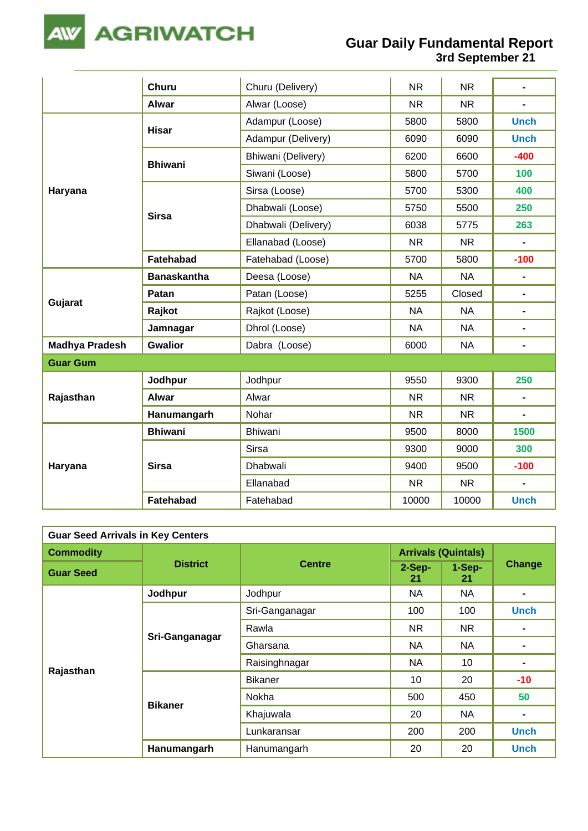

## **Guar Daily Fundamental Report 3rd September 21**

|                       | <b>Churu</b>       | Churu (Delivery)    | <b>NR</b> | <b>NR</b> | $\overline{a}$ |
|-----------------------|--------------------|---------------------|-----------|-----------|----------------|
|                       | <b>Alwar</b>       | Alwar (Loose)       | <b>NR</b> | <b>NR</b> | $\blacksquare$ |
|                       | <b>Hisar</b>       | Adampur (Loose)     | 5800      | 5800      | <b>Unch</b>    |
|                       |                    | Adampur (Delivery)  | 6090      | 6090      | <b>Unch</b>    |
|                       | <b>Bhiwani</b>     | Bhiwani (Delivery)  | 6200      | 6600      | $-400$         |
|                       |                    | Siwani (Loose)      | 5800      | 5700      | 100            |
| Haryana               |                    | Sirsa (Loose)       | 5700      | 5300      | 400            |
|                       | <b>Sirsa</b>       | Dhabwali (Loose)    | 5750      | 5500      | 250            |
|                       |                    | Dhabwali (Delivery) | 6038      | 5775      | 263            |
|                       |                    | Ellanabad (Loose)   | <b>NR</b> | <b>NR</b> |                |
|                       | Fatehabad          | Fatehabad (Loose)   | 5700      | 5800      | $-100$         |
|                       | <b>Banaskantha</b> | Deesa (Loose)       | <b>NA</b> | <b>NA</b> |                |
| Gujarat               | Patan              | Patan (Loose)       | 5255      | Closed    | $\blacksquare$ |
|                       | Rajkot             | Rajkot (Loose)      | <b>NA</b> | <b>NA</b> | $\blacksquare$ |
|                       | Jamnagar           | Dhrol (Loose)       | <b>NA</b> | <b>NA</b> | $\blacksquare$ |
| <b>Madhya Pradesh</b> | <b>Gwalior</b>     | Dabra (Loose)       | 6000      | <b>NA</b> | $\blacksquare$ |
| <b>Guar Gum</b>       |                    |                     |           |           |                |
|                       | Jodhpur            | Jodhpur             | 9550      | 9300      | 250            |
| Rajasthan             | <b>Alwar</b>       | Alwar               | <b>NR</b> | <b>NR</b> | $\blacksquare$ |
|                       | Hanumangarh        | Nohar               | <b>NR</b> | <b>NR</b> | $\blacksquare$ |
|                       | <b>Bhiwani</b>     | Bhiwani             | 9500      | 8000      | 1500           |
|                       |                    | <b>Sirsa</b>        | 9300      | 9000      | 300            |
| Haryana               | <b>Sirsa</b>       | Dhabwali            | 9400      | 9500      | $-100$         |
|                       |                    | Ellanabad           | <b>NR</b> | <b>NR</b> | $\blacksquare$ |
|                       | Fatehabad          | Fatehabad           | 10000     | 10000     | <b>Unch</b>    |

| <b>Guar Seed Arrivals in Key Centers</b> |                 |                |                            |              |                |  |  |
|------------------------------------------|-----------------|----------------|----------------------------|--------------|----------------|--|--|
| <b>Commodity</b>                         |                 | <b>Centre</b>  | <b>Arrivals (Quintals)</b> |              |                |  |  |
| <b>Guar Seed</b>                         | <b>District</b> |                | 2-Sep-<br>21               | 1-Sep-<br>21 | <b>Change</b>  |  |  |
|                                          | Jodhpur         | Jodhpur        | NA                         | <b>NA</b>    |                |  |  |
|                                          | Sri-Ganganagar  | Sri-Ganganagar | 100                        | 100          | <b>Unch</b>    |  |  |
|                                          |                 | Rawla          | <b>NR</b>                  | NR.          |                |  |  |
|                                          |                 | Gharsana       | NA                         | NA           |                |  |  |
| Rajasthan                                |                 | Raisinghnagar  | NA                         | 10           |                |  |  |
|                                          |                 | <b>Bikaner</b> | 10                         | 20           | $-10$          |  |  |
|                                          |                 | Nokha          | 500                        | 450          | 50             |  |  |
|                                          | <b>Bikaner</b>  | Khajuwala      | 20                         | NA.          | $\blacksquare$ |  |  |
|                                          |                 | Lunkaransar    | 200                        | 200          | <b>Unch</b>    |  |  |
|                                          | Hanumangarh     | Hanumangarh    | 20                         | 20           | <b>Unch</b>    |  |  |